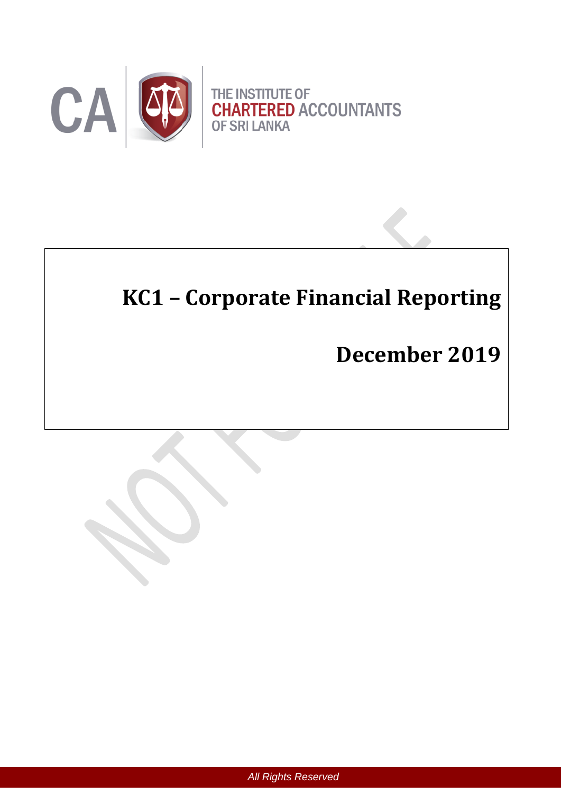

# **KC1 – Corporate Financial Reporting**

# **December 2019**

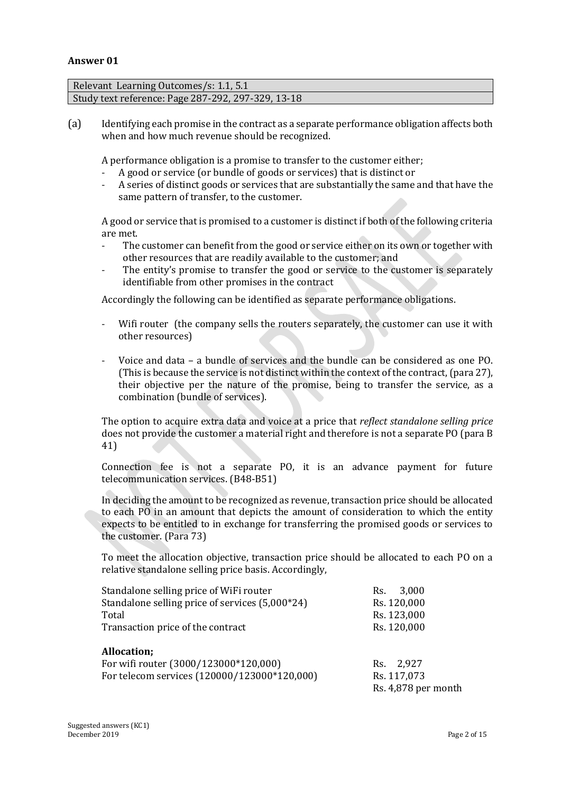### **Answer 01**

| Relevant Learning Outcomes/s: 1.1, 5.1             |  |
|----------------------------------------------------|--|
| Study text reference: Page 287-292, 297-329, 13-18 |  |
|                                                    |  |

(a) Identifying each promise in the contract as a separate performance obligation affects both when and how much revenue should be recognized.

A performance obligation is a promise to transfer to the customer either;

- A good or service (or bundle of goods or services) that is distinct or<br>- A series of distinct goods or services that are substantially the same
- A series of distinct goods or services that are substantially the same and that have the same pattern of transfer, to the customer.

A good or service that is promised to a customer is distinct if both of the following criteria are met.

- The customer can benefit from the good or service either on its own or together with other resources that are readily available to the customer; and
- The entity's promise to transfer the good or service to the customer is separately identifiable from other promises in the contract

Accordingly the following can be identified as separate performance obligations.

- Wifi router (the company sells the routers separately, the customer can use it with other resources)
- Voice and data a bundle of services and the bundle can be considered as one PO. (This is because the service is not distinct within the context of the contract,(para 27), their objective per the nature of the promise, being to transfer the service, as a combination (bundle of services).

The option to acquire extra data and voice at a price that *reflect standalone selling price* does not provide the customer a material right and therefore is not a separate PO (para B 41)

Connection fee is not a separate PO, it is an advance payment for future telecommunication services. (B48-B51)

In deciding the amount to be recognized as revenue, transaction price should be allocated to each PO in an amount that depicts the amount of consideration to which the entity expects to be entitled to in exchange for transferring the promised goods or services to the customer. (Para 73)

To meet the allocation objective, transaction price should be allocated to each PO on a relative standalone selling price basis. Accordingly,

| Standalone selling price of WiFi router         | 3,000<br>Rs.        |
|-------------------------------------------------|---------------------|
| Standalone selling price of services (5,000*24) | Rs. 120,000         |
| Total                                           | Rs. 123,000         |
| Transaction price of the contract               | Rs. 120,000         |
| Allocation;                                     |                     |
| For wifi router (3000/123000*120,000)           | 2,927<br>Rs.        |
| For telecom services (120000/123000*120,000)    | Rs. 117,073         |
|                                                 | Rs. 4,878 per month |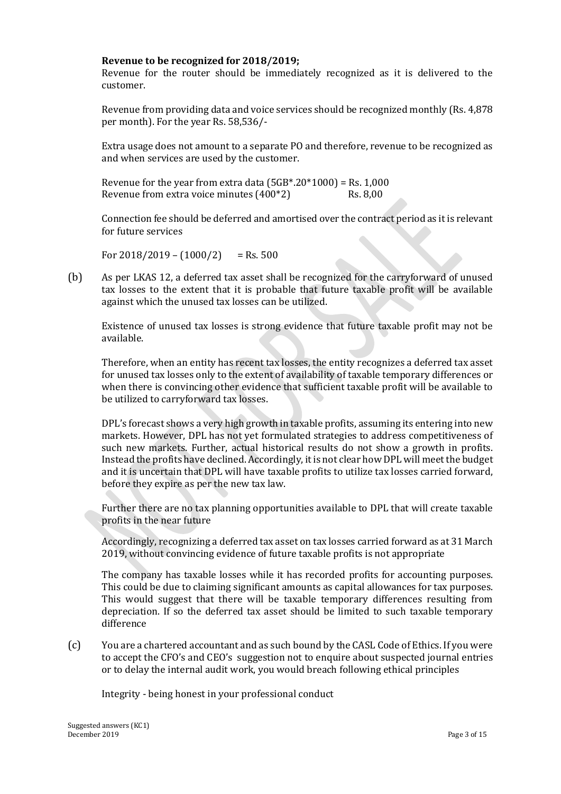## **Revenue to be recognized for 2018/2019;**

Revenue for the router should be immediately recognized as it is delivered to the customer.

Revenue from providing data and voice services should be recognized monthly (Rs. 4,878 per month). For the year Rs. 58,536/-

Extra usage does not amount to a separate PO and therefore, revenue to be recognized as and when services are used by the customer.

Revenue for the year from extra data  $(5GB*.20*1000) =$  Rs. 1,000 Revenue from extra voice minutes (400\*2) Rs. 8,00

Connection fee should be deferred and amortised over the contract period as it is relevant for future services

For  $2018/2019 - (1000/2) =$ Rs. 500

(b) As per LKAS 12, a deferred tax asset shall be recognized for the carryforward of unused tax losses to the extent that it is probable that future taxable profit will be available against which the unused tax losses can be utilized.

Existence of unused tax losses is strong evidence that future taxable profit may not be available.

Therefore, when an entity has recent tax losses, the entity recognizes a deferred tax asset for unused tax losses only to the extent of availability of taxable temporary differences or when there is convincing other evidence that sufficient taxable profit will be available to be utilized to carryforward tax losses.

DPL's forecast shows a very high growth in taxable profits, assuming its entering into new markets. However, DPL has not yet formulated strategies to address competitiveness of such new markets. Further, actual historical results do not show a growth in profits. Instead the profits have declined. Accordingly, it is not clear how DPL will meet the budget and it is uncertain that DPL will have taxable profits to utilize tax losses carried forward, before they expire as per the new tax law.

Further there are no tax planning opportunities available to DPL that will create taxable profits in the near future

Accordingly, recognizing a deferred tax asset on tax losses carried forward as at 31 March 2019, without convincing evidence of future taxable profits is not appropriate

The company has taxable losses while it has recorded profits for accounting purposes. This could be due to claiming significant amounts as capital allowances for tax purposes. This would suggest that there will be taxable temporary differences resulting from depreciation. If so the deferred tax asset should be limited to such taxable temporary difference

(c) You are a chartered accountant and as such bound by the CASL Code of Ethics. If you were to accept the CFO's and CEO's suggestion not to enquire about suspected journal entries or to delay the internal audit work, you would breach following ethical principles

Integrity - being honest in your professional conduct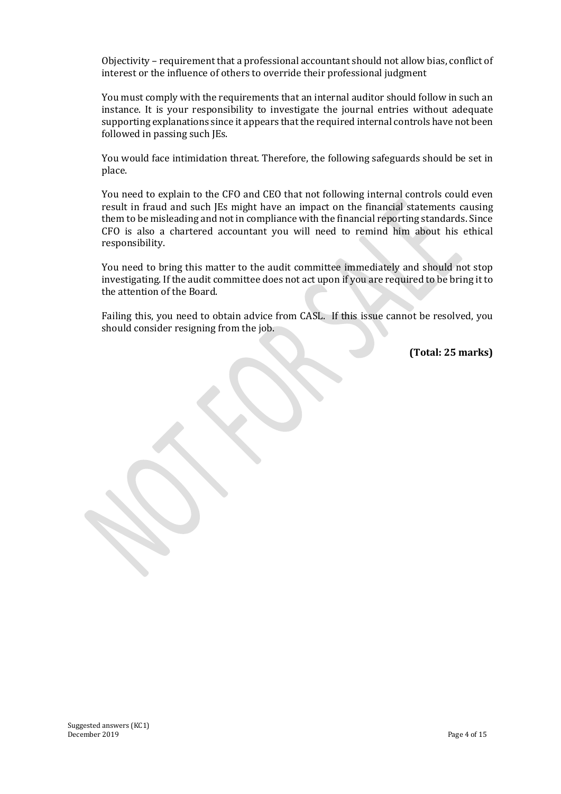Objectivity – requirement that a professional accountant should not allow bias, conflict of interest or the influence of others to override their professional judgment

You must comply with the requirements that an internal auditor should follow in such an instance. It is your responsibility to investigate the journal entries without adequate supporting explanations since it appears that the required internal controls have not been followed in passing such JEs.

You would face intimidation threat. Therefore, the following safeguards should be set in place.

You need to explain to the CFO and CEO that not following internal controls could even result in fraud and such JEs might have an impact on the financial statements causing them to be misleading and not in compliance with the financial reporting standards. Since CFO is also a chartered accountant you will need to remind him about his ethical responsibility.

You need to bring this matter to the audit committee immediately and should not stop investigating. If the audit committee does not act upon if you are required to be bring it to the attention of the Board.

Failing this, you need to obtain advice from CASL. If this issue cannot be resolved, you should consider resigning from the job.

**(Total: 25 marks)**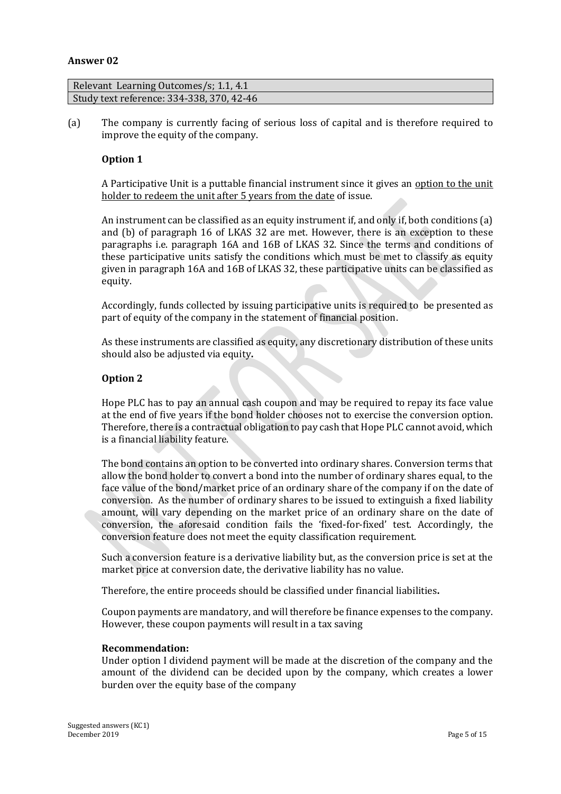#### **Answer 02**

| Relevant Learning Outcomes/s; 1.1, 4.1    |  |
|-------------------------------------------|--|
| Study text reference: 334-338, 370, 42-46 |  |

(a) The company is currently facing of serious loss of capital and is therefore required to improve the equity of the company.

## **Option 1**

A Participative Unit is a puttable financial instrument since it gives an option to the unit holder to redeem the unit after 5 years from the date of issue.

An instrument can be classified as an equity instrument if, and only if, both conditions (a) and (b) of paragraph 16 of LKAS 32 are met. However, there is an exception to these paragraphs i.e. paragraph 16A and 16B of LKAS 32. Since the terms and conditions of these participative units satisfy the conditions which must be met to classify as equity given in paragraph 16A and 16B of LKAS 32, these participative units can be classified as equity.

Accordingly, funds collected by issuing participative units is required to be presented as part of equity of the company in the statement of financial position.

As these instruments are classified as equity, any discretionary distribution of these units should also be adjusted via equity**.**

#### **Option 2**

Hope PLC has to pay an annual cash coupon and may be required to repay its face value at the end of five years if the bond holder chooses not to exercise the conversion option. Therefore, there is a contractual obligation to pay cash that Hope PLC cannot avoid, which is a financial liability feature.

The bond contains an option to be converted into ordinary shares. Conversion terms that allow the bond holder to convert a bond into the number of ordinary shares equal, to the face value of the bond/market price of an ordinary share of the company if on the date of conversion. As the number of ordinary shares to be issued to extinguish a fixed liability amount, will vary depending on the market price of an ordinary share on the date of conversion, the aforesaid condition fails the 'fixed-for-fixed' test. Accordingly, the conversion feature does not meet the equity classification requirement.

Such a conversion feature is a derivative liability but, as the conversion price is set at the market price at conversion date, the derivative liability has no value.

Therefore, the entire proceeds should be classified under financial liabilities**.**

Coupon payments are mandatory, and will therefore be finance expenses to the company. However, these coupon payments will result in a tax saving

#### **Recommendation:**

Under option I dividend payment will be made at the discretion of the company and the amount of the dividend can be decided upon by the company, which creates a lower burden over the equity base of the company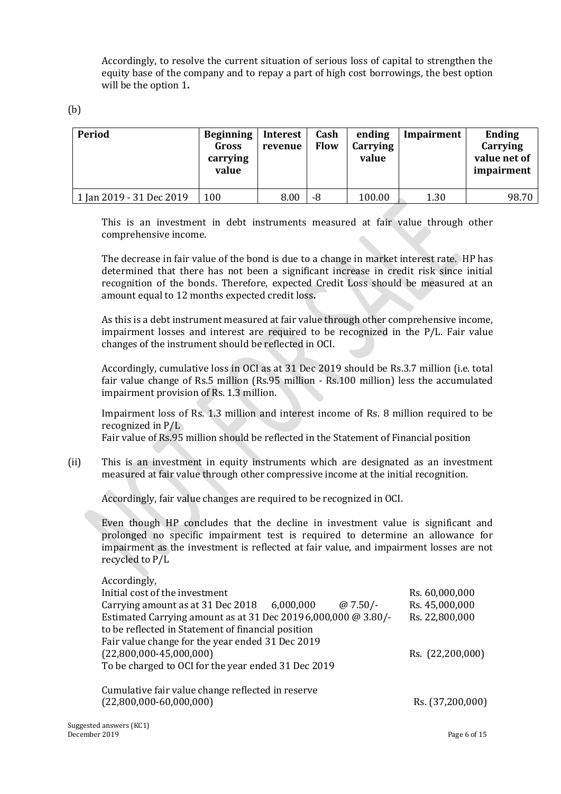Accordingly, to resolve the current situation of serious loss of capital to strengthen the equity base of the company and to repay a part of high cost borrowings, the best option will be the option 1**.**

(b)

| Period                   | <b>Beginning</b><br>Gross<br>carrying<br>value | Interest<br>revenue | Cash<br><b>Flow</b> | ending<br>Carrying<br>value | Impairment | Ending<br>Carrying<br>value net of<br>impairment |
|--------------------------|------------------------------------------------|---------------------|---------------------|-----------------------------|------------|--------------------------------------------------|
| 1 Jan 2019 - 31 Dec 2019 | 100                                            | 8.00                | -8                  | 100.00                      | 1.30       | 98.70                                            |

This is an investment in debt instruments measured at fair value through other comprehensive income.

The decrease in fair value of the bond is due to a change in market interest rate. HP has determined that there has not been a significant increase in credit risk since initial recognition of the bonds. Therefore, expected Credit Loss should be measured at an amount equal to 12 months expected credit loss**.**

As this is a debt instrument measured at fair value through other comprehensive income, impairment losses and interest are required to be recognized in the P/L. Fair value changes of the instrument should be reflected in OCI.

Accordingly, cumulative loss in OCI as at 31 Dec 2019 should be Rs.3.7 million (i.e. total fair value change of Rs.5 million (Rs.95 million - Rs.100 million) less the accumulated impairment provision of Rs. 1.3 million.

Impairment loss of Rs. 1.3 million and interest income of Rs. 8 million required to be recognized in P/L

Fair value of Rs.95 million should be reflected in the Statement of Financial position

(ii) This is an investment in equity instruments which are designated as an investment measured at fair value through other compressive income at the initial recognition.

Accordingly, fair value changes are required to be recognized in OCI.

Even though HP concludes that the decline in investment value is significant and prolonged no specific impairment test is required to determine an allowance for impairment as the investment is reflected at fair value, and impairment losses are not recycled to P/L

| Accordingly,                                                   |                  |
|----------------------------------------------------------------|------------------|
| Initial cost of the investment                                 | Rs. 60,000,000   |
| Carrying amount as at $31$ Dec $2018$ 6,000,000<br>$@7.50/-$   | Rs. 45,000,000   |
| Estimated Carrying amount as at 31 Dec 2019 6,000,000 @ 3.80/- | Rs. 22,800,000   |
| to be reflected in Statement of financial position             |                  |
| Fair value change for the year ended 31 Dec 2019               |                  |
| $(22,800,000-45,000,000)$                                      | Rs. (22,200,000) |
| To be charged to OCI for the year ended 31 Dec 2019            |                  |
| Cumulative fair value change reflected in reserve              |                  |
| $(22,800,000-60,000,000)$                                      | Rs. (37,200,000) |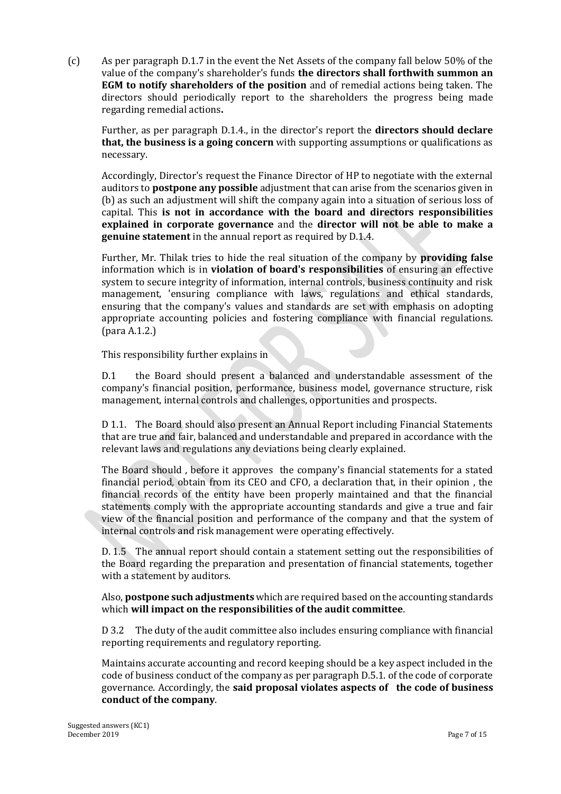(c) As per paragraph D.1.7 in the event the Net Assets of the company fall below 50% of the value of the company's shareholder's funds **the directors shall forthwith summon an EGM to notify shareholders of the position** and of remedial actions being taken. The directors should periodically report to the shareholders the progress being made regarding remedial actions**.**

Further, as per paragraph D.1.4., in the director's report the **directors should declare that, the business is a going concern** with supporting assumptions or qualifications as necessary.

Accordingly, Director's request the Finance Director of HP to negotiate with the external auditors to **postpone any possible** adjustment that can arise from the scenarios given in (b) as such an adjustment will shift the company again into a situation of serious loss of capital. This **is not in accordance with the board and directors responsibilities explained in corporate governance** and the **director will not be able to make a genuine statement** in the annual report as required by D.1.4.

Further, Mr. Thilak tries to hide the real situation of the company by **providing false** information which is in **violation of board's responsibilities** of ensuring an effective system to secure integrity of information, internal controls, business continuity and risk management, 'ensuring compliance with laws, regulations and ethical standards, ensuring that the company's values and standards are set with emphasis on adopting appropriate accounting policies and fostering compliance with financial regulations. (para A.1.2.)

## This responsibility further explains in

D.1 the Board should present a balanced and understandable assessment of the company's financial position, performance, business model, governance structure, risk management, internal controls and challenges, opportunities and prospects.

D 1.1. The Board should also present an Annual Report including Financial Statements that are true and fair, balanced and understandable and prepared in accordance with the relevant laws and regulations any deviations being clearly explained.

The Board should , before it approves the company's financial statements for a stated financial period, obtain from its CEO and CFO, a declaration that, in their opinion , the financial records of the entity have been properly maintained and that the financial statements comply with the appropriate accounting standards and give a true and fair view of the financial position and performance of the company and that the system of internal controls and risk management were operating effectively.

D. 1.5 The annual report should contain a statement setting out the responsibilities of the Board regarding the preparation and presentation of financial statements, together with a statement by auditors.

Also, **postpone such adjustments** which are required based on the accounting standards which **will impact on the responsibilities of the audit committee**.

D 3.2 The duty of the audit committee also includes ensuring compliance with financial reporting requirements and regulatory reporting.

Maintains accurate accounting and record keeping should be a key aspect included in the code of business conduct of the company as per paragraph D.5.1. of the code of corporate governance. Accordingly, the **said proposal violates aspects of the code of business conduct of the company**.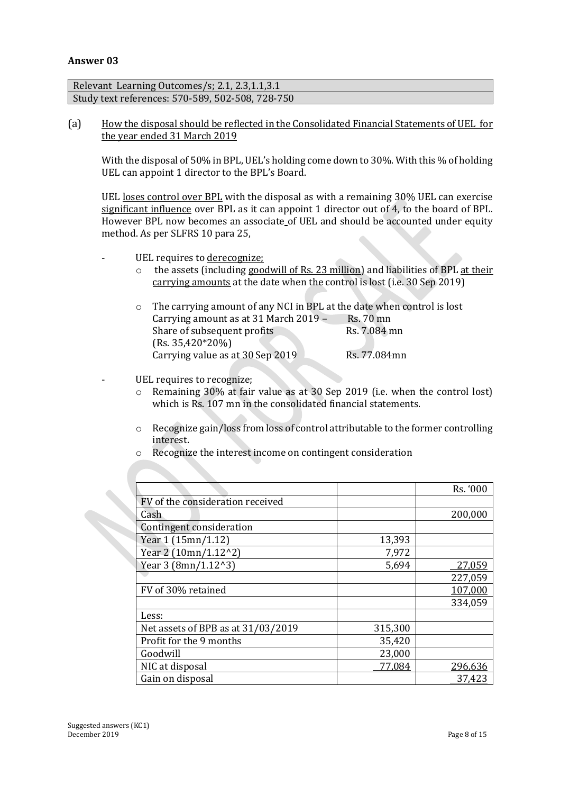## **Answer 03**

Relevant Learning Outcomes/s; 2.1, 2.3,1.1,3.1 Study text references: 570-589, 502-508, 728-750

(a) How the disposal should be reflected in the Consolidated Financial Statements of UEL for the year ended 31 March 2019

With the disposal of 50% in BPL, UEL's holding come down to 30%. With this % of holding UEL can appoint 1 director to the BPL's Board.

UEL loses control over BPL with the disposal as with a remaining 30% UEL can exercise significant influence over BPL as it can appoint 1 director out of 4, to the board of BPL. However BPL now becomes an associate of UEL and should be accounted under equity method. As per SLFRS 10 para 25,

- UEL requires to derecognize;
	- o the assets (including goodwill of Rs. 23 million) and liabilities of BPL at their carrying amounts at the date when the control is lost (i.e. 30 Sep 2019)

| o The carrying amount of any NCI in BPL at the date when control is lost |              |
|--------------------------------------------------------------------------|--------------|
| Carrying amount as at 31 March 2019 -                                    | Rs. 70 mn    |
| Share of subsequent profits                                              | Rs. 7.084 mn |
| $(Rs. 35,420*20%)$                                                       |              |
| Carrying value as at 30 Sep 2019                                         | Rs. 77.084mn |

- UEL requires to recognize;
	- o Remaining 30% at fair value as at 30 Sep 2019 (i.e. when the control lost) which is Rs. 107 mn in the consolidated financial statements.
	- o Recognize gain/loss from loss of control attributable to the former controlling interest.

|                                    |         | Rs. '000 |
|------------------------------------|---------|----------|
| FV of the consideration received   |         |          |
| Cash                               |         | 200,000  |
| Contingent consideration           |         |          |
| Year 1 (15mn/1.12)                 | 13,393  |          |
| Year 2 (10mn/1.12^2)               | 7,972   |          |
| Year 3 (8mn/1.12^3)                | 5,694   | 27,059   |
|                                    |         | 227,059  |
| FV of 30% retained                 |         | 107,000  |
|                                    |         | 334,059  |
| Less:                              |         |          |
| Net assets of BPB as at 31/03/2019 | 315,300 |          |
| Profit for the 9 months            | 35,420  |          |
| Goodwill                           | 23,000  |          |
| NIC at disposal                    | 77,084  | 296,636  |
| Gain on disposal                   |         | 37,423   |
|                                    |         |          |

o Recognize the interest income on contingent consideration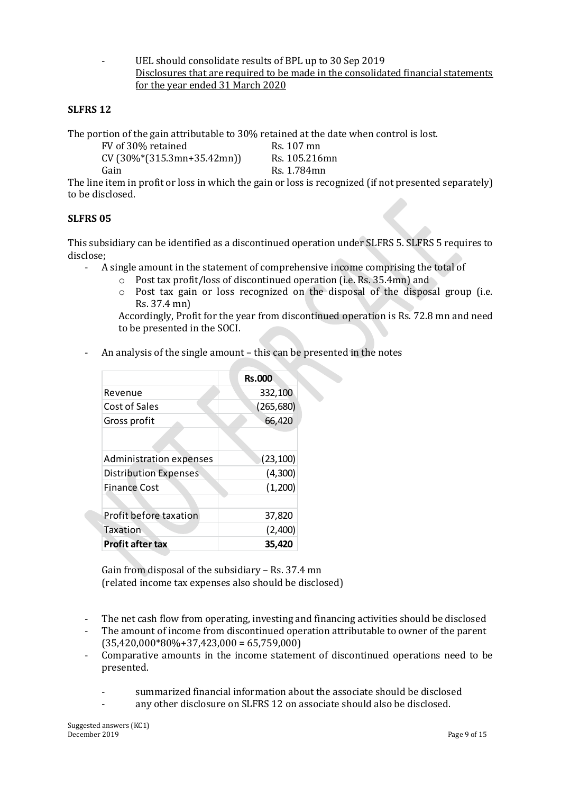UEL should consolidate results of BPL up to 30 Sep 2019 Disclosures that are required to be made in the consolidated financial statements for the year ended 31 March 2020

## **SLFRS 12**

The portion of the gain attributable to 30% retained at the date when control is lost.

| FV of 30% retained           | Rs. 107 mn    |
|------------------------------|---------------|
| $CV(30\%*(315.3mn+35.42mn))$ | Rs. 105.216mn |
| Gain                         | Rs. 1.784mn   |

The line item in profit or loss in which the gain or loss is recognized (if not presented separately) to be disclosed.

## **SLFRS 05**

This subsidiary can be identified as a discontinued operation under SLFRS 5. SLFRS 5 requires to disclose;

- A single amount in the statement of comprehensive income comprising the total of
	- o Post tax profit/loss of discontinued operation (i.e. Rs. 35.4mn) and
	- o Post tax gain or loss recognized on the disposal of the disposal group (i.e. Rs. 37.4 mn)

Accordingly, Profit for the year from discontinued operation is Rs. 72.8 mn and need to be presented in the SOCI.

- An analysis of the single amount – this can be presented in the notes

|                              | <b>Rs.000</b> |
|------------------------------|---------------|
| Revenue                      | 332,100       |
| Cost of Sales                | (265, 680)    |
| Gross profit                 | 66,420        |
|                              |               |
| Administration expenses      | (23, 100)     |
| <b>Distribution Expenses</b> | (4,300)       |
| <b>Finance Cost</b>          | (1,200)       |
|                              |               |
| Profit before taxation       | 37,820        |
| Taxation                     | (2,400)       |
| <b>Profit after tax</b>      | 35.420        |

Gain from disposal of the subsidiary – Rs. 37.4 mn (related income tax expenses also should be disclosed)

- The net cash flow from operating, investing and financing activities should be disclosed
- The amount of income from discontinued operation attributable to owner of the parent  $(35,420,000*80\% + 37,423,000 = 65,759,000)$
- Comparative amounts in the income statement of discontinued operations need to be presented.
	- summarized financial information about the associate should be disclosed
	- any other disclosure on SLFRS 12 on associate should also be disclosed.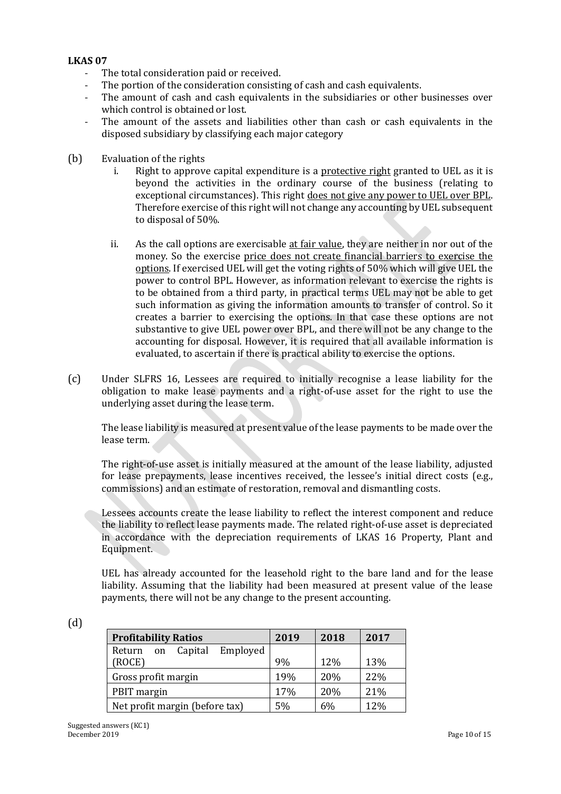## **LKAS 07**

- The total consideration paid or received.
- The portion of the consideration consisting of cash and cash equivalents.
- The amount of cash and cash equivalents in the subsidiaries or other businesses over which control is obtained or lost.
- The amount of the assets and liabilities other than cash or cash equivalents in the disposed subsidiary by classifying each major category
- (b) Evaluation of the rights
	- i. Right to approve capital expenditure is a protective right granted to UEL as it is beyond the activities in the ordinary course of the business (relating to exceptional circumstances). This right does not give any power to UEL over BPL. Therefore exercise of this right will not change any accounting by UEL subsequent to disposal of 50%.
	- ii. As the call options are exercisable at fair value, they are neither in nor out of the money. So the exercise price does not create financial barriers to exercise the options. If exercised UEL will get the voting rights of 50% which will give UEL the power to control BPL. However, as information relevant to exercise the rights is to be obtained from a third party, in practical terms UEL may not be able to get such information as giving the information amounts to transfer of control. So it creates a barrier to exercising the options. In that case these options are not substantive to give UEL power over BPL, and there will not be any change to the accounting for disposal. However, it is required that all available information is evaluated, to ascertain if there is practical ability to exercise the options.
- (c) Under SLFRS 16, Lessees are required to initially recognise a lease liability for the obligation to make lease payments and a right-of-use asset for the right to use the underlying asset during the lease term.

The lease liability is measured at present value of the lease payments to be made over the lease term.

The right-of-use asset is initially measured at the amount of the lease liability, adjusted for lease prepayments, lease incentives received, the lessee's initial direct costs (e.g., commissions) and an estimate of restoration, removal and dismantling costs.

Lessees accounts create the lease liability to reflect the interest component and reduce the liability to reflect lease payments made. The related right-of-use asset is depreciated in accordance with the depreciation requirements of LKAS 16 Property, Plant and Equipment.

UEL has already accounted for the leasehold right to the bare land and for the lease liability. Assuming that the liability had been measured at present value of the lease payments, there will not be any change to the present accounting.

| ٠ |        |  |
|---|--------|--|
|   |        |  |
|   | $\sim$ |  |

| <b>Profitability Ratios</b>         | 2019 | 2018 | 2017 |
|-------------------------------------|------|------|------|
| Employed<br>Capital<br>Return<br>on |      |      |      |
| (ROCE)                              | 9%   | 12%  | 13%  |
| Gross profit margin                 | 19%  | 20%  | 22%  |
| PBIT margin                         | 17%  | 20%  | 21%  |
| Net profit margin (before tax)      | 5%   | 6%   | 12%  |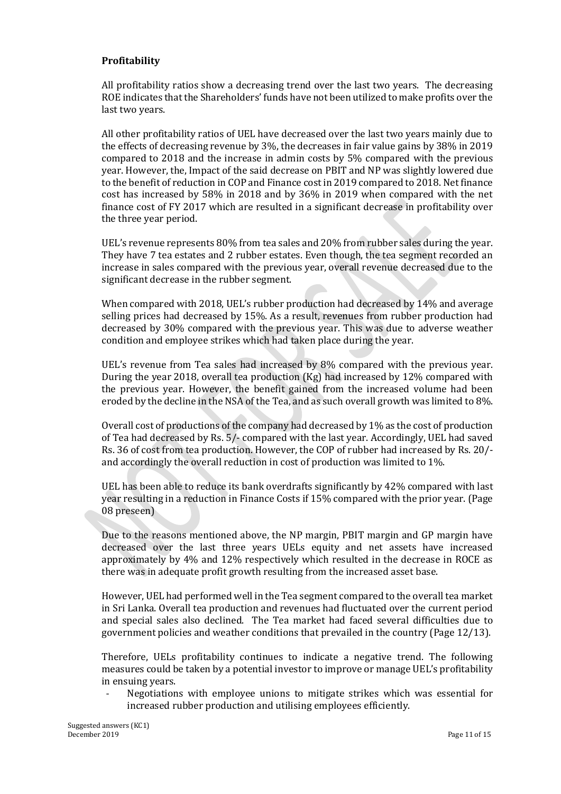## **Profitability**

All profitability ratios show a decreasing trend over the last two years. The decreasing ROE indicates that the Shareholders' funds have not been utilized to make profits over the last two years.

All other profitability ratios of UEL have decreased over the last two years mainly due to the effects of decreasing revenue by 3%, the decreases in fair value gains by 38% in 2019 compared to 2018 and the increase in admin costs by 5% compared with the previous year. However, the, Impact of the said decrease on PBIT and NP was slightly lowered due to the benefit of reduction in COP and Finance cost in 2019 compared to 2018. Net finance cost has increased by 58% in 2018 and by 36% in 2019 when compared with the net finance cost of FY 2017 which are resulted in a significant decrease in profitability over the three year period.

UEL's revenue represents 80% from tea sales and 20% from rubber sales during the year. They have 7 tea estates and 2 rubber estates. Even though, the tea segment recorded an increase in sales compared with the previous year, overall revenue decreased due to the significant decrease in the rubber segment.

When compared with 2018, UEL's rubber production had decreased by 14% and average selling prices had decreased by 15%. As a result, revenues from rubber production had decreased by 30% compared with the previous year. This was due to adverse weather condition and employee strikes which had taken place during the year.

UEL's revenue from Tea sales had increased by 8% compared with the previous year. During the year 2018, overall tea production (Kg) had increased by 12% compared with the previous year. However, the benefit gained from the increased volume had been eroded by the decline in the NSA of the Tea, and as such overall growth was limited to 8%.

Overall cost of productions of the company had decreased by 1% as the cost of production of Tea had decreased by Rs. 5/- compared with the last year. Accordingly, UEL had saved Rs. 36 of cost from tea production. However, the COP of rubber had increased by Rs. 20/ and accordingly the overall reduction in cost of production was limited to 1%.

UEL has been able to reduce its bank overdrafts significantly by 42% compared with last year resulting in a reduction in Finance Costs if 15% compared with the prior year. (Page 08 preseen)

Due to the reasons mentioned above, the NP margin, PBIT margin and GP margin have decreased over the last three years UELs equity and net assets have increased approximately by 4% and 12% respectively which resulted in the decrease in ROCE as there was in adequate profit growth resulting from the increased asset base.

However, UEL had performed well in the Tea segment compared to the overall tea market in Sri Lanka. Overall tea production and revenues had fluctuated over the current period and special sales also declined. The Tea market had faced several difficulties due to government policies and weather conditions that prevailed in the country (Page 12/13).

Therefore, UELs profitability continues to indicate a negative trend. The following measures could be taken by a potential investor to improve or manage UEL's profitability in ensuing years.

Negotiations with employee unions to mitigate strikes which was essential for increased rubber production and utilising employees efficiently.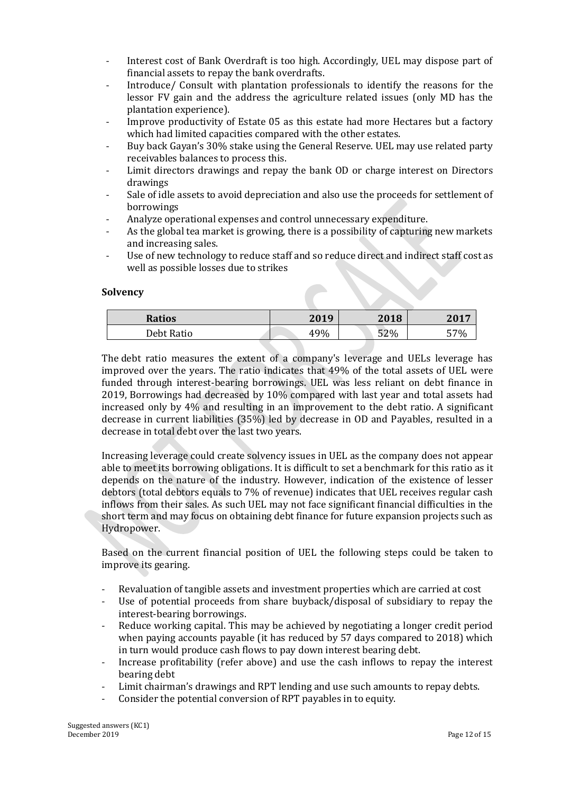- Interest cost of Bank Overdraft is too high. Accordingly, UEL may dispose part of financial assets to repay the bank overdrafts.
- Introduce/ Consult with plantation professionals to identify the reasons for the lessor FV gain and the address the agriculture related issues (only MD has the plantation experience).
- Improve productivity of Estate 05 as this estate had more Hectares but a factory which had limited capacities compared with the other estates.
- Buy back Gayan's 30% stake using the General Reserve. UEL may use related party receivables balances to process this.
- Limit directors drawings and repay the bank OD or charge interest on Directors drawings
- Sale of idle assets to avoid depreciation and also use the proceeds for settlement of borrowings
- Analyze operational expenses and control unnecessary expenditure.
- As the global tea market is growing, there is a possibility of capturing new markets and increasing sales.
- Use of new technology to reduce staff and so reduce direct and indirect staff cost as well as possible losses due to strikes

## **Solvency**

| Ratios     | 2019 | 2018 | 201' |
|------------|------|------|------|
| Debt Ratio | 49%  | 52%  | 57%  |

The debt ratio measures the extent of a company's leverage and UELs leverage has improved over the years. The ratio indicates that 49% of the total assets of UEL were funded through interest-bearing borrowings. UEL was less reliant on debt finance in 2019, Borrowings had decreased by 10% compared with last year and total assets had increased only by 4% and resulting in an improvement to the debt ratio. A significant decrease in current liabilities (35%) led by decrease in OD and Payables, resulted in a decrease in total debt over the last two years.

Increasing leverage could create solvency issues in UEL as the company does not appear able to meet its borrowing obligations. It is difficult to set a benchmark for this ratio as it depends on the nature of the industry. However, indication of the existence of lesser debtors (total debtors equals to 7% of revenue) indicates that UEL receives regular cash inflows from their sales. As such UEL may not face significant financial difficulties in the short term and may focus on obtaining debt finance for future expansion projects such as Hydropower.

Based on the current financial position of UEL the following steps could be taken to improve its gearing.

- Revaluation of tangible assets and investment properties which are carried at cost
- Use of potential proceeds from share buyback/disposal of subsidiary to repay the interest-bearing borrowings.
- Reduce working capital. This may be achieved by negotiating a longer credit period when paying accounts payable (it has reduced by 57 days compared to 2018) which in turn would produce cash flows to pay down interest bearing debt.
- Increase profitability (refer above) and use the cash inflows to repay the interest bearing debt
- Limit chairman's drawings and RPT lending and use such amounts to repay debts.
- Consider the potential conversion of RPT payables in to equity.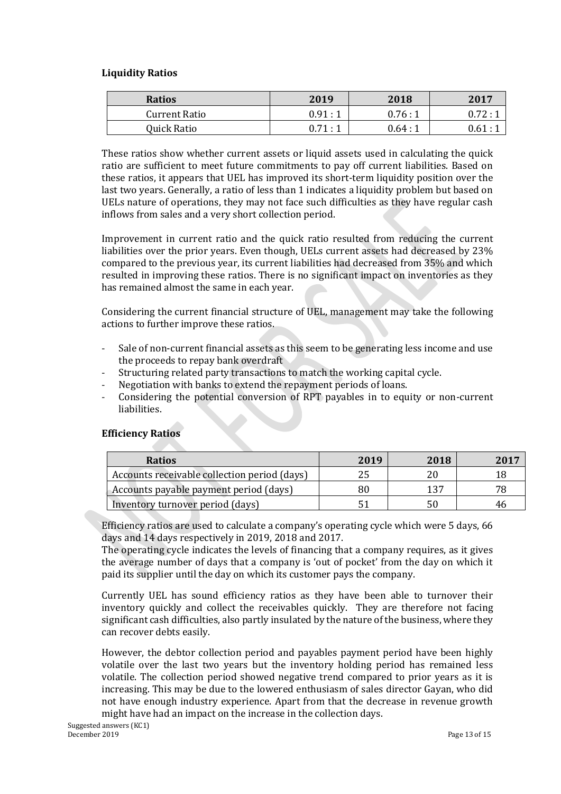## **Liquidity Ratios**

| <b>Ratios</b>        | 2019   | 2018   | 2017                 |
|----------------------|--------|--------|----------------------|
| <b>Current Ratio</b> | 0.91:1 | 0.76:1 | 0.72:1               |
| Quick Ratio          | 0.71:1 | 0.64:1 | $0.61:$ <sup>1</sup> |

These ratios show whether current assets or liquid assets used in calculating the quick ratio are sufficient to meet future commitments to pay off current liabilities. Based on these ratios, it appears that UEL has improved its short-term liquidity position over the last two years. Generally, a ratio of less than 1 indicates a liquidity problem but based on UELs nature of operations, they may not face such difficulties as they have regular cash inflows from sales and a very short collection period.

Improvement in current ratio and the quick ratio resulted from reducing the current liabilities over the prior years. Even though, UELs current assets had decreased by 23% compared to the previous year, its current liabilities had decreased from 35% and which resulted in improving these ratios. There is no significant impact on inventories as they has remained almost the same in each year.

Considering the current financial structure of UEL, management may take the following actions to further improve these ratios.

- Sale of non-current financial assets as this seem to be generating less income and use the proceeds to repay bank overdraft
- Structuring related party transactions to match the working capital cycle.
- Negotiation with banks to extend the repayment periods of loans.
- Considering the potential conversion of RPT payables in to equity or non-current liabilities.

## **Efficiency Ratios**

| <b>Ratios</b>                                | 2019 | 2018 | 2017 |
|----------------------------------------------|------|------|------|
| Accounts receivable collection period (days) | 25   |      |      |
| Accounts payable payment period (days)       | 80   | 127  | 79   |
| Inventory turnover period (days)             | 51   | 50   |      |

Efficiency ratios are used to calculate a company's operating cycle which were 5 days, 66 days and 14 days respectively in 2019, 2018 and 2017.

The operating cycle indicates the levels of financing that a company requires, as it gives the average number of days that a company is 'out of pocket' from the day on which it paid its supplier until the day on which its customer pays the company.

Currently UEL has sound efficiency ratios as they have been able to turnover their inventory quickly and collect the receivables quickly. They are therefore not facing significant cash difficulties, also partly insulated by the nature of the business, where they can recover debts easily.

However, the debtor collection period and payables payment period have been highly volatile over the last two years but the inventory holding period has remained less volatile. The collection period showed negative trend compared to prior years as it is increasing. This may be due to the lowered enthusiasm of sales director Gayan, who did not have enough industry experience. Apart from that the decrease in revenue growth might have had an impact on the increase in the collection days.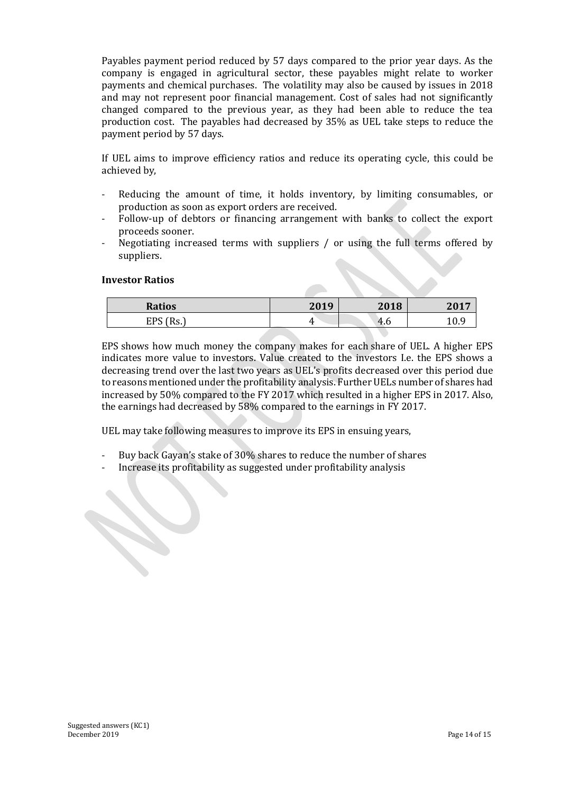Payables payment period reduced by 57 days compared to the prior year days. As the company is engaged in agricultural sector, these payables might relate to worker payments and chemical purchases. The volatility may also be caused by issues in 2018 and may not represent poor financial management. Cost of sales had not significantly changed compared to the previous year, as they had been able to reduce the tea production cost. The payables had decreased by 35% as UEL take steps to reduce the payment period by 57 days.

If UEL aims to improve efficiency ratios and reduce its operating cycle, this could be achieved by,

- Reducing the amount of time, it holds inventory, by limiting consumables, or production as soon as export orders are received.
- Follow-up of debtors or financing arrangement with banks to collect the export proceeds sooner.
- Negotiating increased terms with suppliers / or using the full terms offered by suppliers.

#### **Investor Ratios**

| <b>Ratios</b>                                       | 2019 | 2018   | 201<br>4 U |
|-----------------------------------------------------|------|--------|------------|
| <b>CDC</b><br>$\mathbb{R}^n$<br>ĽГ<br>. 119. .<br>ັ |      | $-4.6$ |            |

EPS shows how much money the company makes for each share of UEL. A higher EPS indicates more value to investors. Value created to the investors I.e. the EPS shows a decreasing trend over the last two years as UEL's profits decreased over this period due to reasons mentioned under the profitability analysis. Further UELs number of shares had increased by 50% compared to the FY 2017 which resulted in a higher EPS in 2017. Also, the earnings had decreased by 58% compared to the earnings in FY 2017.

UEL may take following measures to improve its EPS in ensuing years,

- Buy back Gayan's stake of 30% shares to reduce the number of shares
- Increase its profitability as suggested under profitability analysis